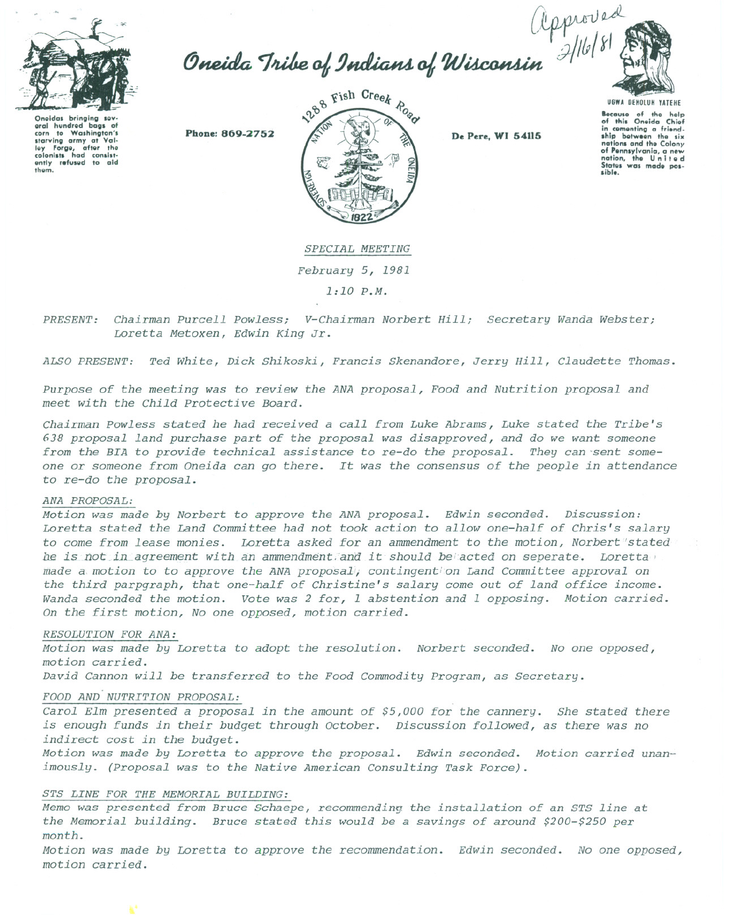

**cor" to Washington', Itorving army at Val-**

**ontly ,.fulod to aid thom.**

*(jneiJa. <J1tik 0I!J~ 01*'J(J~ ,}!/&!!-I

**Onotdol bringing ,gv· o,al hund,od** bag I **of Igy forgo, afhir tho coloni.t. had con,i.t·**





**I••caulo of tho help of thl. Oneida Chiof** in comenting a friend-<br>ship between the six<br>nations and the Colony<br>of Pennsylvania, a new<br>nation, the United **nation**, the United<br>States was made pos-<br>sible.

SPECIAL MEETING February 5, 1981 1:10 P.M.

PRESENT: Chairman Purcell Powless; V-Chairman Norbert Hill; Secretary Wanda Webster; Loretta Metoxen, Edwin King Jr.

ALSO PRESENT: Ted White, Dick Shikoski, Francis Skenandore, Jerry Hill, Claudette Thomas.

Purpose of the meeting was to review the ANA proposal, Food and Nutrition proposal and meet with the Child Protective Board.

Chairman Powless stated he had received a call from Luke Abrams, Luke stated the Tribe's 638 proposal land purchase part of the proposal was disapproved, and do we want someone from the BIA to provide technical assistance to re-do the proposal. They can 'sent someone or someone from Oneida can go there. It was the consensus of the people in attendance to re-do the proposal.

## ANA PROPOSAL:

Motion was made by Norbert to approve the ANA proposal. Edwin seconded. Discussion: Loretta stated the Land Committee had not took action to allow one-half of Chris's salary to come from lease monies. Loretta asked for an ammendment to the motion, Norbert"stated he is not in agreement with an ammendment. and it should be acted on seperate. Loretta made a motion to to approve the ANA proposal, contingention Land Committee approval on the third parpgraph, that one-half of Christine's salary come out of land office income. Wanda seconded the motion. Vote was 2 for, 1 abstention and 1 opposing. Motion carried. On the first motion, No one opposed, motion carried.

## RESOLUTION FOR ANA:

Motion was made by Loretta to adopt the resolution. Norbert seconded. No one opposed, motion carried.

David Cannon will be transferred to the Food Commodity Program, as Secretary.

### FOOD AND NUTRITION PROPOSAL:

Carol Elm presented a proposal in the amount of  $$5,000$  for the cannery. She stated there is enough funds in their budget through October. Discussion followed, as there was no indirect cost in the budget.

Motion was made by Loretta to approve the proposal. Edwin seconded. Motion carried unanimously. (Proposal was to the Native American Consulting Task Force).

# STS LINE FOR THE MEMORIAL BUILDING:

Memo was presented from Bruce Schaepe, recommending the installation of an STS line at the Memorial building. Bruce stated this would be a savings of around \$200-\$250 per month.

Motion was made by Loretta to approve the recommendation. Edwin seconded. No one opposed, motion carried.